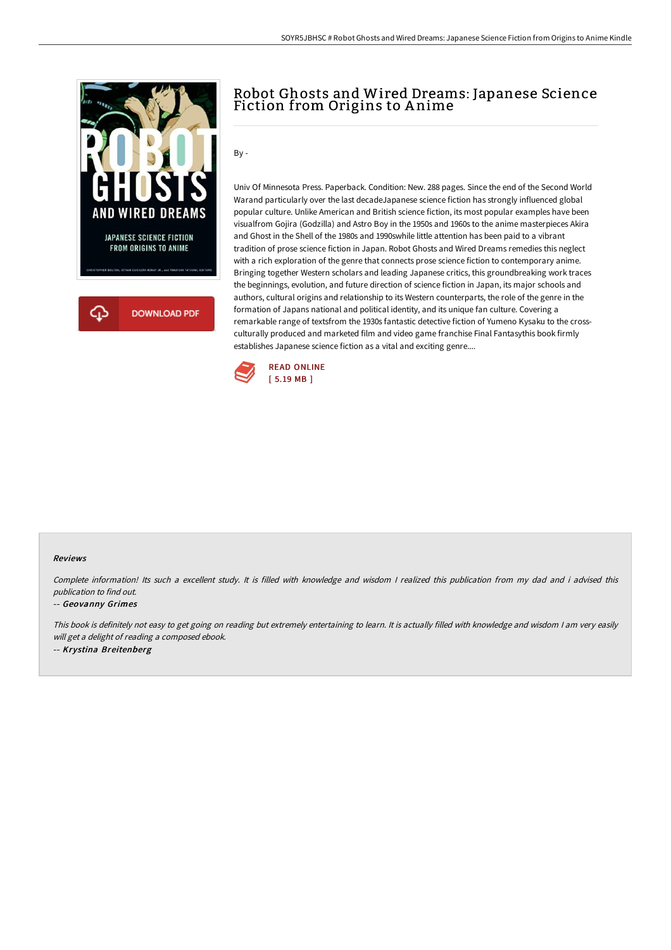

# Robot Ghosts and Wired Dreams: Japanese Science Fiction from Origins to Anime

By -

Univ Of Minnesota Press. Paperback. Condition: New. 288 pages. Since the end of the Second World Warand particularly over the last decadeJapanese science fiction has strongly influenced global popular culture. Unlike American and British science fiction, its most popular examples have been visualfrom Gojira (Godzilla) and Astro Boy in the 1950s and 1960s to the anime masterpieces Akira and Ghost in the Shell of the 1980s and 1990swhile little attention has been paid to a vibrant tradition of prose science fiction in Japan. Robot Ghosts and Wired Dreams remedies this neglect with a rich exploration of the genre that connects prose science fiction to contemporary anime. Bringing together Western scholars and leading Japanese critics, this groundbreaking work traces the beginnings, evolution, and future direction of science fiction in Japan, its major schools and authors, cultural origins and relationship to its Western counterparts, the role of the genre in the formation of Japans national and political identity, and its unique fan culture. Covering a remarkable range of textsfrom the 1930s fantastic detective fiction of Yumeno Kysaku to the crossculturally produced and marketed film and video game franchise Final Fantasythis book firmly establishes Japanese science fiction as a vital and exciting genre....



#### Reviews

Complete information! Its such <sup>a</sup> excellent study. It is filled with knowledge and wisdom <sup>I</sup> realized this publication from my dad and i advised this publication to find out.

#### -- Geovanny Grimes

This book is definitely not easy to get going on reading but extremely entertaining to learn. It is actually filled with knowledge and wisdom <sup>I</sup> am very easily will get <sup>a</sup> delight of reading <sup>a</sup> composed ebook. -- Krystina Breitenberg